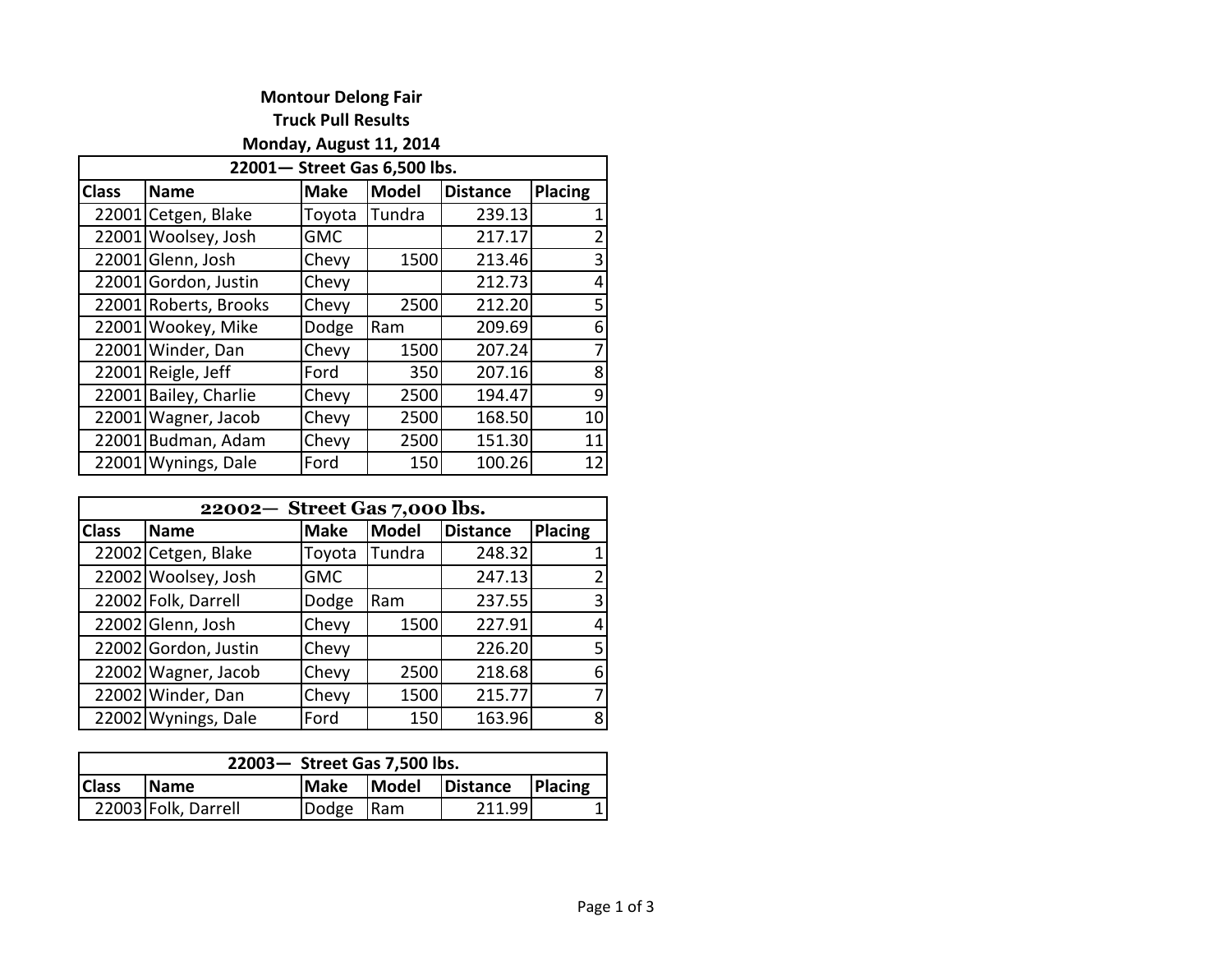## **Montour Delong Fair Truck Pull Results**

**Monday, August 11, 2014** 

| 22001-Street Gas 6,500 lbs. |                       |             |        |                 |         |  |
|-----------------------------|-----------------------|-------------|--------|-----------------|---------|--|
| <b>Class</b>                | <b>Name</b>           | <b>Make</b> | Model  | <b>Distance</b> | Placing |  |
|                             | 22001 Cetgen, Blake   | Toyota      | Tundra | 239.13          |         |  |
|                             | 22001 Woolsey, Josh   | <b>GMC</b>  |        | 217.17          | 2       |  |
|                             | 22001 Glenn, Josh     | Chevy       | 1500   | 213.46          | 3       |  |
|                             | 22001 Gordon, Justin  | Chevy       |        | 212.73          | 4       |  |
|                             | 22001 Roberts, Brooks | Chevy       | 2500   | 212.20          | 5       |  |
|                             | 22001 Wookey, Mike    | Dodge       | Ram    | 209.69          | 6       |  |
|                             | 22001 Winder, Dan     | Chevy       | 1500   | 207.24          | 7       |  |
|                             | 22001 Reigle, Jeff    | Ford        | 350    | 207.16          | 8       |  |
| 22001                       | Bailey, Charlie       | Chevy       | 2500   | 194.47          | 9       |  |
|                             | 22001 Wagner, Jacob   | Chevy       | 2500   | 168.50          | 10      |  |
|                             | 22001 Budman, Adam    | Chevy       | 2500   | 151.30          | 11      |  |
|                             | 22001 Wynings, Dale   | Ford        | 150    | 100.26          | 12      |  |

| 22002- Street Gas 7,000 lbs. |                      |             |              |                 |                |  |
|------------------------------|----------------------|-------------|--------------|-----------------|----------------|--|
| <b>Class</b>                 | <b>Name</b>          | <b>Make</b> | <b>Model</b> | <b>Distance</b> | Placing        |  |
|                              | 22002 Cetgen, Blake  | Toyota      | Tundra       | 248.32          |                |  |
|                              | 22002 Woolsey, Josh  | <b>GMC</b>  |              | 247.13          | $\overline{2}$ |  |
|                              | 22002 Folk, Darrell  | Dodge       | Ram          | 237.55          | 3              |  |
|                              | 22002 Glenn, Josh    | Chevy       | 1500         | 227.91          | 4              |  |
|                              | 22002 Gordon, Justin | Chevy       |              | 226.20          | 5              |  |
|                              | 22002 Wagner, Jacob  | Chevy       | 2500         | 218.68          | 6              |  |
|                              | 22002 Winder, Dan    | Chevy       | 1500         | 215.77          | 7              |  |
|                              | 22002 Wynings, Dale  | Ford        | 150          | 163.96          | 8              |  |

| 22003- Street Gas 7,500 lbs. |                     |              |       |          |         |  |
|------------------------------|---------------------|--------------|-------|----------|---------|--|
| <b>Class</b>                 | <b>IName</b>        | <b>IMake</b> | Model | Distance | Placing |  |
|                              | 22003 Folk, Darrell | Dodge Ram    |       | 211.99   |         |  |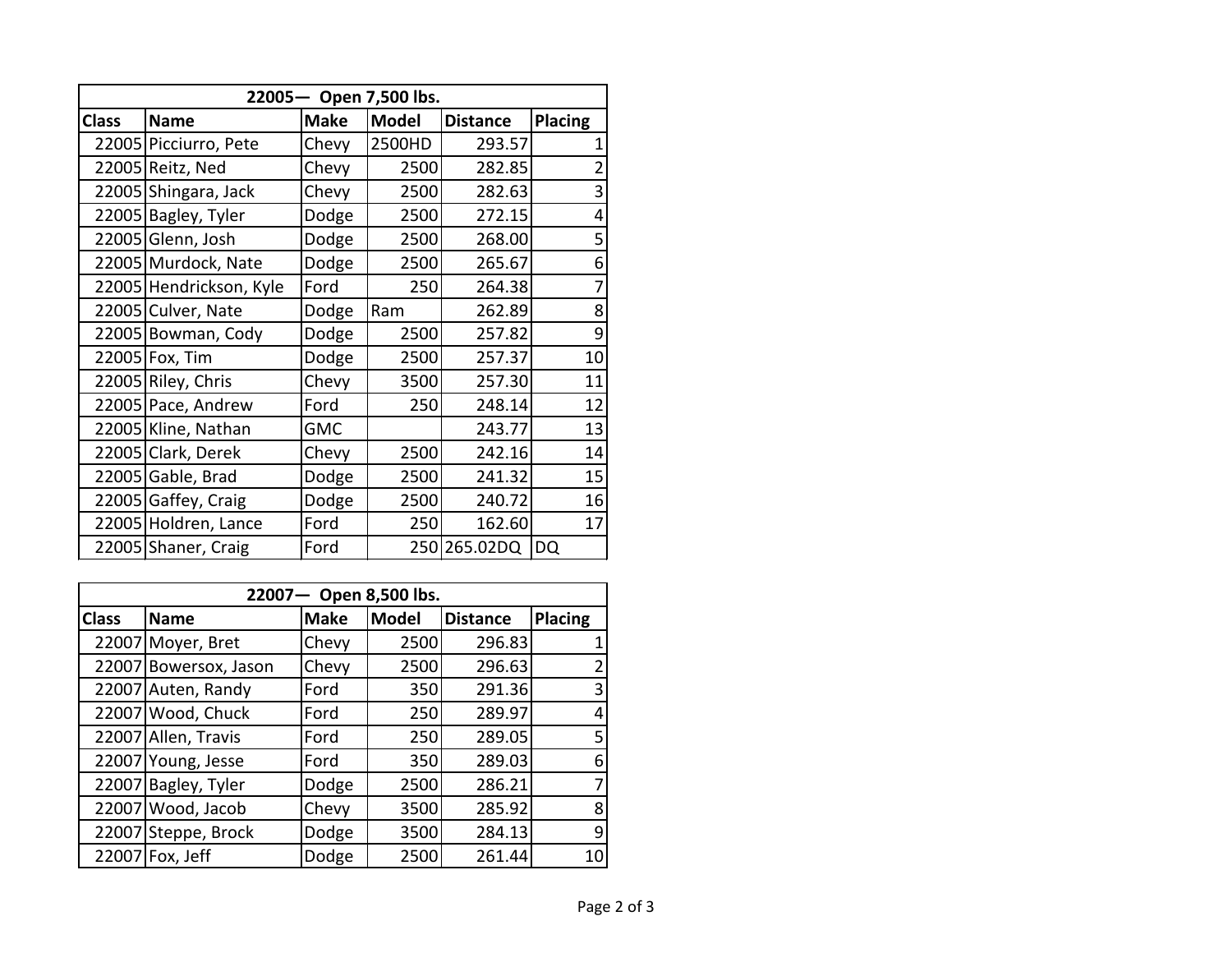| 22005- Open 7,500 lbs. |                         |             |              |                 |                |  |
|------------------------|-------------------------|-------------|--------------|-----------------|----------------|--|
| <b>Class</b>           | <b>Name</b>             | <b>Make</b> | <b>Model</b> | <b>Distance</b> | <b>Placing</b> |  |
|                        | 22005 Picciurro, Pete   | Chevy       | 2500HD       | 293.57          |                |  |
|                        | 22005 Reitz, Ned        | Chevy       | 2500         | 282.85          | $\overline{2}$ |  |
|                        | 22005 Shingara, Jack    | Chevy       | 2500         | 282.63          | 3              |  |
|                        | 22005 Bagley, Tyler     | Dodge       | 2500         | 272.15          | 4              |  |
| 22005                  | Glenn, Josh             | Dodge       | 2500         | 268.00          | 5              |  |
|                        | 22005 Murdock, Nate     | Dodge       | 2500         | 265.67          | 6              |  |
|                        | 22005 Hendrickson, Kyle | Ford        | 250          | 264.38          | 7              |  |
|                        | 22005 Culver, Nate      | Dodge       | Ram          | 262.89          | 8              |  |
|                        | 22005 Bowman, Cody      | Dodge       | 2500         | 257.82          | 9              |  |
|                        | 22005 Fox, Tim          | Dodge       | 2500         | 257.37          | 10             |  |
|                        | 22005 Riley, Chris      | Chevy       | 3500         | 257.30          | 11             |  |
|                        | 22005 Pace, Andrew      | Ford        | 250          | 248.14          | 12             |  |
|                        | 22005 Kline, Nathan     | <b>GMC</b>  |              | 243.77          | 13             |  |
|                        | 22005 Clark, Derek      | Chevy       | 2500         | 242.16          | 14             |  |
|                        | 22005 Gable, Brad       | Dodge       | 2500         | 241.32          | 15             |  |
|                        | 22005 Gaffey, Craig     | Dodge       | 2500         | 240.72          | 16             |  |
|                        | 22005 Holdren, Lance    | Ford        | 250          | 162.60          | 17             |  |
|                        | 22005 Shaner, Craig     | Ford        |              | 250 265.02DQ    | DQ             |  |

| 22007- Open 8,500 lbs. |                       |             |              |                 |         |  |
|------------------------|-----------------------|-------------|--------------|-----------------|---------|--|
| <b>Class</b>           | <b>Name</b>           | <b>Make</b> | <b>Model</b> | <b>Distance</b> | Placing |  |
|                        | 22007 Moyer, Bret     | Chevy       | 2500         | 296.83          |         |  |
|                        | 22007 Bowersox, Jason | Chevy       | 2500         | 296.63          |         |  |
|                        | 22007 Auten, Randy    | Ford        | 350          | 291.36          | 3       |  |
|                        | 22007 Wood, Chuck     | Ford        | 250          | 289.97          | 4       |  |
|                        | 22007 Allen, Travis   | Ford        | 250          | 289.05          | 5       |  |
|                        | 22007 Young, Jesse    | Ford        | 350          | 289.03          | 6       |  |
|                        | 22007 Bagley, Tyler   | Dodge       | 2500         | 286.21          | 7       |  |
|                        | 22007 Wood, Jacob     | Chevy       | 3500         | 285.92          | 8       |  |
|                        | 22007 Steppe, Brock   | Dodge       | 3500         | 284.13          | 9       |  |
|                        | $22007$ Fox, Jeff     | Dodge       | 2500         | 261.44          | 10      |  |